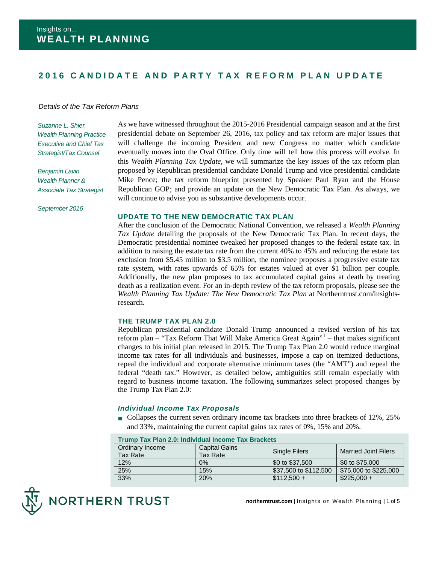# **2 016 CANDIDATE AND PA RTY TAX REFORM PLAN UPDATE**

#### *Details of the Tax Reform Plans*

*Suzanne L. Shier, Wealth Planning Practice Executive and Chief Tax Strategist/Tax Counsel*

*Benjamin Lavin Wealth Planner & Associate Tax Strategist*

*September 2016*

As we have witnessed throughout the 2015-2016 Presidential campaign season and at the first presidential debate on September 26, 2016, tax policy and tax reform are major issues that will challenge the incoming President and new Congress no matter which candidate eventually moves into the Oval Office. Only time will tell how this process will evolve. In this *Wealth Planning Tax Update*, we will summarize the key issues of the tax reform plan proposed by Republican presidential candidate Donald Trump and vice presidential candidate Mike Pence; the tax reform blueprint presented by Speaker Paul Ryan and the House Republican GOP; and provide an update on the New Democratic Tax Plan. As always, we will continue to advise you as substantive developments occur.

## **UPDATE TO THE NEW DEMOCRATIC TAX PLAN**

After the conclusion of the Democratic National Convention, we released a *Wealth Planning Tax Update* detailing the proposals of the New Democratic Tax Plan. In recent days, the Democratic presidential nominee tweaked her proposed changes to the federal estate tax. In addition to raising the estate tax rate from the current 40% to 45% and reducing the estate tax exclusion from \$5.45 million to \$3.5 million, the nominee proposes a progressive estate tax rate system, with rates upwards of 65% for estates valued at over \$1 billion per couple. Additionally, the new plan proposes to tax accumulated capital gains at death by treating death as a realization event. For an in-depth review of the tax reform proposals, please see the *Wealth Planning Tax Update: The New Democratic Tax Plan* at Northerntrust.com/insightsresearch.

## **THE TRUMP TAX PLAN 2.0**

Republican presidential candidate Donald Trump announced a revised version of his tax reform plan – "Tax Reform That Will Make America Great Again"[1](#page-4-0) – that makes significant changes to his initial plan released in 2015. The Trump Tax Plan 2.0 would reduce marginal income tax rates for all individuals and businesses, impose a cap on itemized deductions, repeal the individual and corporate alternative minimum taxes (the "AMT") and repeal the federal "death tax." However, as detailed below, ambiguities still remain especially with regard to business income taxation. The following summarizes select proposed changes by the Trump Tax Plan 2.0:

## *Individual Income Tax Proposals*

■ Collapses the current seven ordinary income tax brackets into three brackets of 12%, 25% and 33%, maintaining the current capital gains tax rates of 0%, 15% and 20%.

| <b>Trump Tax Plan 2.0: Individual Income Tax Brackets</b> |                                  |                       |                             |  |  |  |
|-----------------------------------------------------------|----------------------------------|-----------------------|-----------------------------|--|--|--|
| Ordinary Income<br><b>Tax Rate</b>                        | <b>Capital Gains</b><br>Tax Rate | <b>Single Filers</b>  | <b>Married Joint Filers</b> |  |  |  |
| 12%                                                       | $0\%$                            | \$0 to \$37,500       | \$0 to \$75,000             |  |  |  |
| 25%                                                       | 15%                              | \$37,500 to \$112,500 | \$75,000 to \$225,000       |  |  |  |
| 33%                                                       | 20%                              | $$112.500 +$          | $$225.000 +$                |  |  |  |



**northerntrust.com** | Insights on Wealth Planning | 1 of 5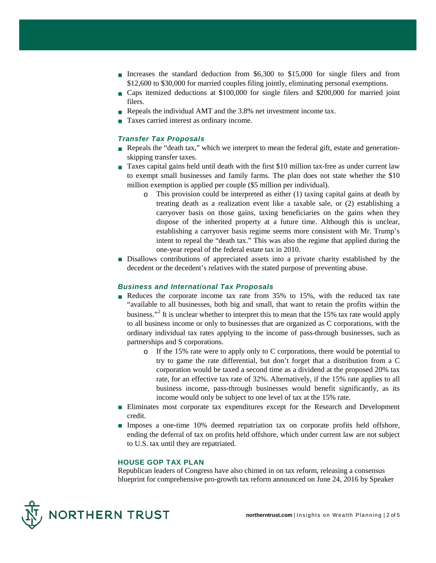- Increases the standard deduction from \$6,300 to \$15,000 for single filers and from \$12,600 to \$30,000 for married couples filing jointly, eliminating personal exemptions.
- Caps itemized deductions at \$100,000 for single filers and \$200,000 for married joint filers.
- Repeals the individual AMT and the 3.8% net investment income tax.
- Taxes carried interest as ordinary income.

# *Transfer Tax Proposals*

- Repeals the "death tax," which we interpret to mean the federal gift, estate and generationskipping transfer taxes.
- Taxes capital gains held until death with the first \$10 million tax-free as under current law to exempt small businesses and family farms. The plan does not state whether the \$10 million exemption is applied per couple (\$5 million per individual).
	- $\circ$  This provision could be interpreted as either (1) taxing capital gains at death by treating death as a realization event like a taxable sale, or (2) establishing a carryover basis on those gains, taxing beneficiaries on the gains when they dispose of the inherited property at a future time. Although this is unclear, establishing a carryover basis regime seems more consistent with Mr. Trump's intent to repeal the "death tax." This was also the regime that applied during the one-year repeal of the federal estate tax in 2010.
- Disallows contributions of appreciated assets into a private charity established by the decedent or the decedent's relatives with the stated purpose of preventing abuse.

## *Business and International Tax Proposals*

- Reduces the corporate income tax rate from 35% to 15%, with the reduced tax rate "available to all businesses, both big and small, that want to retain the profits within the business."[2](#page-4-1) It is unclear whether to interpret this to mean that the 15% tax rate would apply to all business income or only to businesses that are organized as C corporations, with the ordinary individual tax rates applying to the income of pass-through businesses, such as partnerships and S corporations.
	- o If the 15% rate were to apply only to C corporations, there would be potential to try to game the rate differential, but don't forget that a distribution from a C corporation would be taxed a second time as a dividend at the proposed 20% tax rate, for an effective tax rate of 32%. Alternatively, if the 15% rate applies to all business income, pass-through businesses would benefit significantly, as its income would only be subject to one level of tax at the 15% rate.
- Eliminates most corporate tax expenditures except for the Research and Development credit.
- Imposes a one-time 10% deemed repatriation tax on corporate profits held offshore, ending the deferral of tax on profits held offshore, which under current law are not subject to U.S. tax until they are repatriated.

#### **HOUSE GOP TAX PLAN**

Republican leaders of Congress have also chimed in on tax reform, releasing a consensus blueprint for comprehensive pro-growth tax reform announced on June 24, 2016 by Speaker

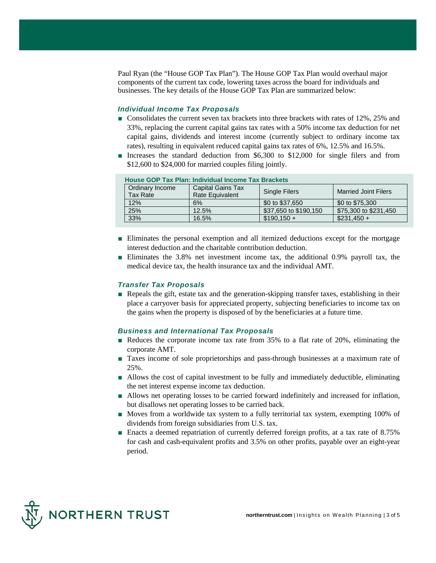Paul Ryan (the "House GOP Tax Plan"). The House GOP Tax Plan would overhaul major components of the current tax code, lowering taxes across the board for individuals and businesses. The key details of the House GOP Tax Plan are summarized below:

# *Individual Income Tax Proposals*

- Consolidates the current seven tax brackets into three brackets with rates of 12%, 25% and 33%, replacing the current capital gains tax rates with a 50% income tax deduction for net capital gains, dividends and interest income (currently subject to ordinary income tax rates), resulting in equivalent reduced capital gains tax rates of 6%, 12.5% and 16.5%.
- Increases the standard deduction from \$6,300 to \$12,000 for single filers and from \$12,600 to \$24,000 for married couples filing jointly.

| <b>House GOP Tax Plan: Individual Income Tax Brackets</b> |                                                    |                       |                             |  |  |  |  |
|-----------------------------------------------------------|----------------------------------------------------|-----------------------|-----------------------------|--|--|--|--|
| Ordinary Income<br><b>Tax Rate</b>                        | <b>Capital Gains Tax</b><br><b>Rate Equivalent</b> | <b>Single Filers</b>  | <b>Married Joint Filers</b> |  |  |  |  |
| 12%                                                       | 6%                                                 | \$0 to \$37,650       | \$0 to \$75,300             |  |  |  |  |
| 25%                                                       | 12.5%                                              | \$37,650 to \$190,150 | \$75,300 to \$231,450       |  |  |  |  |
| 33%                                                       | 16.5%                                              | $$190.150 +$          | $$231.450 +$                |  |  |  |  |

- Eliminates the personal exemption and all itemized deductions except for the mortgage interest deduction and the charitable contribution deduction.
- Eliminates the 3.8% net investment income tax, the additional 0.9% payroll tax, the medical device tax, the health insurance tax and the individual AMT.

#### *Transfer Tax Proposals*

■ Repeals the gift, estate tax and the generation-skipping transfer taxes, establishing in their place a carryover basis for appreciated property, subjecting beneficiaries to income tax on the gains when the property is disposed of by the beneficiaries at a future time.

#### *Business and International Tax Proposals*

- Reduces the corporate income tax rate from 35% to a flat rate of 20%, eliminating the corporate AMT.
- Taxes income of sole proprietorships and pass-through businesses at a maximum rate of 25%.
- Allows the cost of capital investment to be fully and immediately deductible, eliminating the net interest expense income tax deduction.
- Allows net operating losses to be carried forward indefinitely and increased for inflation, but disallows net operating losses to be carried back.
- Moves from a worldwide tax system to a fully territorial tax system, exempting 100% of dividends from foreign subsidiaries from U.S. tax.
- Enacts a deemed repatriation of currently deferred foreign profits, at a tax rate of 8.75% for cash and cash-equivalent profits and 3.5% on other profits, payable over an eight-year period.

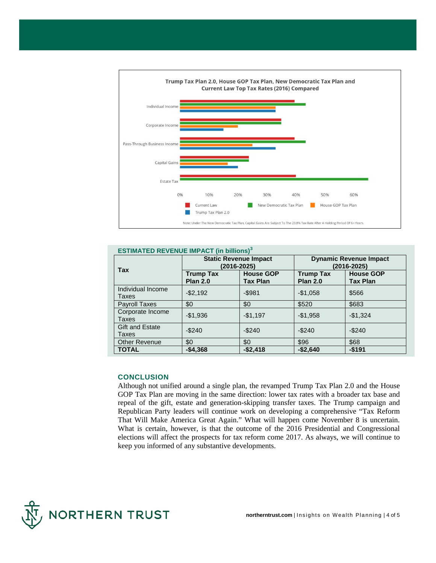

| <b>ESTIMATED REVENUE IMPACT (in billions)<sup>3</sup></b> |                                             |                                     |                                              |                                     |  |  |  |
|-----------------------------------------------------------|---------------------------------------------|-------------------------------------|----------------------------------------------|-------------------------------------|--|--|--|
| <b>Tax</b>                                                | <b>Static Revenue Impact</b><br>(2016-2025) |                                     | <b>Dynamic Revenue Impact</b><br>(2016-2025) |                                     |  |  |  |
|                                                           | <b>Trump Tax</b><br><b>Plan 2.0</b>         | <b>House GOP</b><br><b>Tax Plan</b> | <b>Trump Tax</b><br><b>Plan 2.0</b>          | <b>House GOP</b><br><b>Tax Plan</b> |  |  |  |
| Individual Income<br>Taxes                                | $-$2,192$                                   | $-$ \$981                           | $-$1,058$                                    | \$566                               |  |  |  |
| Payroll Taxes                                             | \$0                                         | \$0                                 | \$520                                        | \$683                               |  |  |  |
| Corporate Income<br>Taxes                                 | $-$1,936$                                   | $-$1,197$                           | $-$1,958$                                    | $-$1,324$                           |  |  |  |
| Gift and Estate<br>Taxes                                  | $-$240$                                     | $-$240$                             | $-$240$                                      | $-$ \$240                           |  |  |  |
| <b>Other Revenue</b>                                      | \$0                                         | \$0                                 | \$96                                         | \$68                                |  |  |  |
| <b>TOTAL</b>                                              | $-$4.368$                                   | $-$2,418$                           | $-$2.640$                                    | $-$191$                             |  |  |  |

# **CONCLUSION**

Although not unified around a single plan, the revamped Trump Tax Plan 2.0 and the House GOP Tax Plan are moving in the same direction: lower tax rates with a broader tax base and repeal of the gift, estate and generation-skipping transfer taxes. The Trump campaign and Republican Party leaders will continue work on developing a comprehensive "Tax Reform That Will Make America Great Again." What will happen come November 8 is uncertain. What is certain, however, is that the outcome of the 2016 Presidential and Congressional elections will affect the prospects for tax reform come 2017. As always, we will continue to keep you informed of any substantive developments.